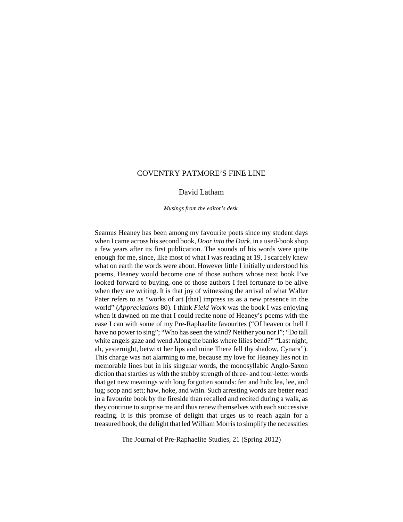# COVENTRY PATMORE'S FINE LINE

## David Latham

*Musings from the editor's desk.*

Seamus Heaney has been among my favourite poets since my student days when I came across his second book, *Door into the Dark*, in a used-book shop a few years after its first publication. The sounds of his words were quite enough for me, since, like most of what I was reading at 19, I scarcely knew what on earth the words were about. However little I initially understood his poems, Heaney would become one of those authors whose next book I've looked forward to buying, one of those authors I feel fortunate to be alive when they are writing. It is that joy of witnessing the arrival of what Walter Pater refers to as "works of art [that] impress us as a new presence in the world" (*Appreciations* 80). I think *Field Work* was the book I was enjoying when it dawned on me that I could recite none of Heaney's poems with the ease I can with some of my Pre-Raphaelite favourites ("Of heaven or hell I have no power to sing"; "Who has seen the wind? Neither you nor I"; "Do tall white angels gaze and wend Along the banks where lilies bend?" "Last night, ah, yesternight, betwixt her lips and mine There fell thy shadow, Cynara"). This charge was not alarming to me, because my love for Heaney lies not in memorable lines but in his singular words, the monosyllabic Anglo-Saxon diction that startles us with the stubby strength of three- and four-letter words that get new meanings with long forgotten sounds: fen and hub; lea, lee, and lug; scop and sett; haw, hoke, and whin. Such arresting words are better read in a favourite book by the fireside than recalled and recited during a walk, as they continue to surprise me and thus renew themselves with each successive reading. It is this promise of delight that urges us to reach again for a treasured book, the delight that led William Morris to simplify the necessities

The Journal of Pre-Raphaelite Studies, 21 (Spring 2012)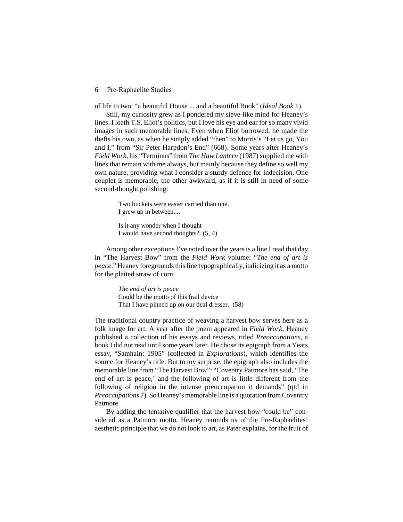of life to two: "a beautiful House ... and a beautiful Book" (*Ideal Book* 1).

Still, my curiosity grew as I pondered my sieve-like mind for Heaney's lines. I loath T.S. Eliot's politics, but I love his eye and ear for so many vivid images in such memorable lines. Even when Eliot borrowed, he made the thefts his own, as when he simply added "then" to Morris's "Let us go, You and I," from "Sir Peter Harpdon's End" (668). Some years after Heaney's *Field Work*, his "Terminus" from *The Haw Lantern* (1987) supplied me with lines that remain with me always, but mainly because they define so well my own nature, providing what I consider a sturdy defence for indecision. One couplet is memorable, the other awkward, as if it is still in need of some second-thought polishing:

> Two buckets were easier carried than one. I grew up in between....

Is it any wonder when I thought I would have second thoughts? (5, 4)

Among other exceptions I've noted over the years is a line I read that day in "The Harvest Bow" from the *Field Work* volume: "*The end of art is peace*." Heaney foregrounds this line typographically, italicizing it as a motto for the plaited straw of corn:

> *The end of art is peace* Could be the motto of this frail device That I have pinned up on our deal dresser. (58)

The traditional country practice of weaving a harvest bow serves here as a folk image for art. A year after the poem appeared in *Field Work*, Heaney published a collection of his essays and reviews, titled *Preoccupations*, a book I did not read until some years later. He chose its epigraph from a Yeats essay, "Samhain: 1905" (collected in *Explorations*), which identifies the source for Heaney's title. But to my surprise, the epigraph also includes the memorable line from "The Harvest Bow": "Coventry Patmore has said, 'The end of art is peace,' and the following of art is little different from the following of religion in the intense preoccupation it demands" (qtd in *Preoccupations* 7). So Heaney's memorable line is a quotation from Coventry Patmore.

By adding the tentative qualifier that the harvest bow "could be" considered as a Patmore motto, Heaney reminds us of the Pre-Raphaelites' aesthetic principle that we do not look to art, as Pater explains, for the fruit of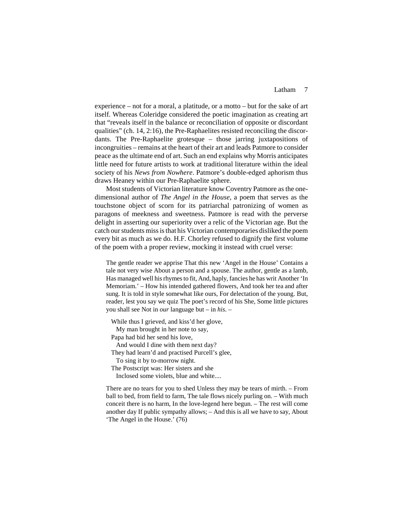### Latham 7

experience – not for a moral, a platitude, or a motto – but for the sake of art itself. Whereas Coleridge considered the poetic imagination as creating art that "reveals itself in the balance or reconciliation of opposite or discordant qualities" (ch. 14, 2:16), the Pre-Raphaelites resisted reconciling the discordants. The Pre-Raphaelite grotesque – those jarring juxtapositions of incongruities – remains at the heart of their art and leads Patmore to consider peace as the ultimate end of art. Such an end explains why Morris anticipates little need for future artists to work at traditional literature within the ideal society of his *News from Nowhere*. Patmore's double-edged aphorism thus draws Heaney within our Pre-Raphaelite sphere.

Most students of Victorian literature know Coventry Patmore as the onedimensional author of *The Angel in the House*, a poem that serves as the touchstone object of scorn for its patriarchal patronizing of women as paragons of meekness and sweetness. Patmore is read with the perverse delight in asserting our superiority over a relic of the Victorian age. But the catch our students miss is that his Victorian contemporaries disliked the poem every bit as much as we do. H.F. Chorley refused to dignify the first volume of the poem with a proper review, mocking it instead with cruel verse:

The gentle reader we apprise That this new 'Angel in the House' Contains a tale not very wise About a person and a spouse. The author, gentle as a lamb, Has managed well his rhymes to fit, And, haply, fancies he has writ Another 'In Memoriam.' – How his intended gathered flowers, And took her tea and after sung. It is told in style somewhat like ours, For delectation of the young. But, reader, lest you say we quiz The poet's record of his She, Some little pictures you shall see Not in *our* language but – in *his*. –

While thus I grieved, and kiss'd her glove,

My man brought in her note to say,

Papa had bid her send his love,

And would I dine with them next day?

They had learn'd and practised Purcell's glee,

To sing it by to-morrow night.

The Postscript was: Her sisters and she

Inclosed some violets, blue and white....

There are no tears for you to shed Unless they may be tears of mirth. – From ball to bed, from field to farm, The tale flows nicely purling on. – With much conceit there is no harm, In the love-legend here begun. – The rest will come another day If public sympathy allows; – And this is all we have to say, About 'The Angel in the House.' (76)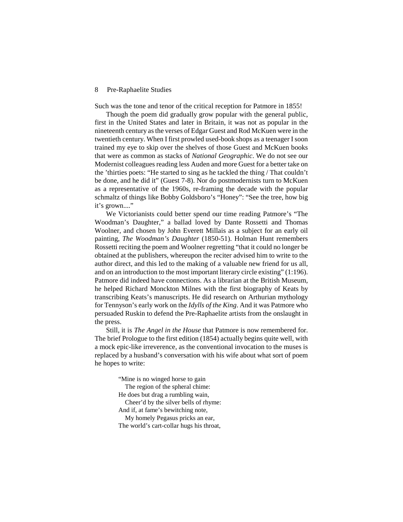Such was the tone and tenor of the critical reception for Patmore in 1855!

Though the poem did gradually grow popular with the general public, first in the United States and later in Britain, it was not as popular in the nineteenth century as the verses of Edgar Guest and Rod McKuen were in the twentieth century. When I first prowled used-book shops as a teenager I soon trained my eye to skip over the shelves of those Guest and McKuen books that were as common as stacks of *National Geographic*. We do not see our Modernist colleagues reading less Auden and more Guest for a better take on the 'thirties poets: "He started to sing as he tackled the thing / That couldn't be done, and he did it" (Guest 7-8). Nor do postmodernists turn to McKuen as a representative of the 1960s, re-framing the decade with the popular schmaltz of things like Bobby Goldsboro's "Honey": "See the tree, how big it's grown...."

We Victorianists could better spend our time reading Patmore's "The Woodman's Daughter," a ballad loved by Dante Rossetti and Thomas Woolner, and chosen by John Everett Millais as a subject for an early oil painting, *The Woodman's Daughter* (1850-51). Holman Hunt remembers Rossetti reciting the poem and Woolner regretting "that it could no longer be obtained at the publishers, whereupon the reciter advised him to write to the author direct, and this led to the making of a valuable new friend for us all, and on an introduction to the most important literary circle existing" (1:196). Patmore did indeed have connections. As a librarian at the British Museum, he helped Richard Monckton Milnes with the first biography of Keats by transcribing Keats's manuscripts. He did research on Arthurian mythology for Tennyson's early work on the *Idylls of the King*. And it was Patmore who persuaded Ruskin to defend the Pre-Raphaelite artists from the onslaught in the press.

Still, it is *The Angel in the House* that Patmore is now remembered for. The brief Prologue to the first edition (1854) actually begins quite well, with a mock epic-like irreverence, as the conventional invocation to the muses is replaced by a husband's conversation with his wife about what sort of poem he hopes to write:

> "Mine is no winged horse to gain The region of the spheral chime: He does but drag a rumbling wain, Cheer'd by the silver bells of rhyme: And if, at fame's bewitching note, My homely Pegasus pricks an ear, The world's cart-collar hugs his throat,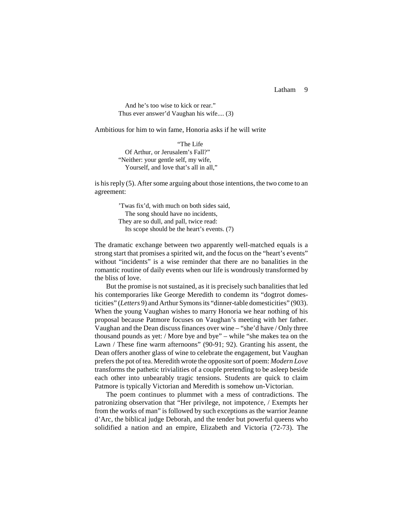Latham 9

 And he's too wise to kick or rear." Thus ever answer'd Vaughan his wife.... (3)

Ambitious for him to win fame, Honoria asks if he will write

 "The Life Of Arthur, or Jerusalem's Fall?" "Neither: your gentle self, my wife, Yourself, and love that's all in all."

is his reply (5). After some arguing about those intentions, the two come to an agreement:

> 'Twas fix'd, with much on both sides said, The song should have no incidents, They are so dull, and pall, twice read: Its scope should be the heart's events. (7)

The dramatic exchange between two apparently well-matched equals is a strong start that promises a spirited wit, and the focus on the "heart's events" without "incidents" is a wise reminder that there are no banalities in the romantic routine of daily events when our life is wondrously transformed by the bliss of love.

But the promise is not sustained, as it is precisely such banalities that led his contemporaries like George Meredith to condemn its "dogtrot domesticities" (*Letters* 9) and Arthur Symons its "dinner-table domesticities" (903). When the young Vaughan wishes to marry Honoria we hear nothing of his proposal because Patmore focuses on Vaughan's meeting with her father. Vaughan and the Dean discuss finances over wine – "she'd have / Only three thousand pounds as yet: / More bye and bye" – while "she makes tea on the Lawn / These fine warm afternoons" (90-91; 92). Granting his assent, the Dean offers another glass of wine to celebrate the engagement, but Vaughan prefers the pot of tea. Meredith wrote the opposite sort of poem: *Modern Love* transforms the pathetic trivialities of a couple pretending to be asleep beside each other into unbearably tragic tensions. Students are quick to claim Patmore is typically Victorian and Meredith is somehow un-Victorian.

The poem continues to plummet with a mess of contradictions. The patronizing observation that "Her privilege, not impotence, / Exempts her from the works of man" is followed by such exceptions as the warrior Jeanne d'Arc, the biblical judge Deborah, and the tender but powerful queens who solidified a nation and an empire, Elizabeth and Victoria (72-73). The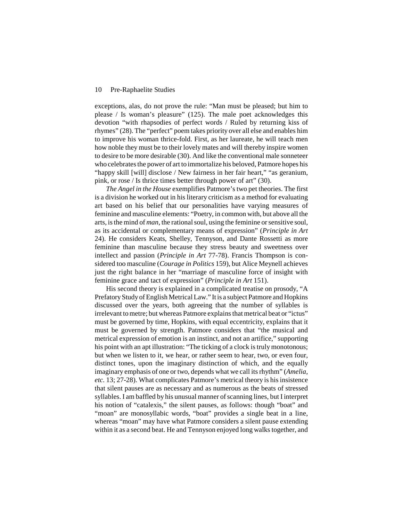exceptions, alas, do not prove the rule: "Man must be pleased; but him to please / Is woman's pleasure" (125). The male poet acknowledges this devotion "with rhapsodies of perfect words / Ruled by returning kiss of rhymes" (28). The "perfect" poem takes priority over all else and enables him to improve his woman thrice-fold. First, as her laureate, he will teach men how noble they must be to their lovely mates and will thereby inspire women to desire to be more desirable (30). And like the conventional male sonneteer who celebrates the power of art to immortalize his beloved, Patmore hopes his "happy skill [will] disclose / New fairness in her fair heart," "as geranium, pink, or rose / Is thrice times better through power of art" (30).

*The Angel in the House* exemplifies Patmore's two pet theories. The first is a division he worked out in his literary criticism as a method for evaluating art based on his belief that our personalities have varying measures of feminine and masculine elements: "Poetry, in common with, but above all the arts, is the mind of *man*, the rational soul, using the feminine or sensitive soul, as its accidental or complementary means of expression" (*Principle in Art* 24). He considers Keats, Shelley, Tennyson, and Dante Rossetti as more feminine than masculine because they stress beauty and sweetness over intellect and passion (*Principle in Art* 77-78). Francis Thompson is considered too masculine (*Courage in Politics* 159), but Alice Meynell achieves just the right balance in her "marriage of masculine force of insight with feminine grace and tact of expression" (*Principle in Art* 151).

His second theory is explained in a complicated treatise on prosody, "A Prefatory Study of English Metrical Law." It is a subject Patmore and Hopkins discussed over the years, both agreeing that the number of syllables is irrelevant to metre; but whereas Patmore explains that metrical beat or "ictus" must be governed by time, Hopkins, with equal eccentricity, explains that it must be governed by strength. Patmore considers that "the musical and metrical expression of emotion is an instinct, and not an artifice," supporting his point with an apt illustration: "The ticking of a clock is truly monotonous; but when we listen to it, we hear, or rather seem to hear, two, or even four, distinct tones, upon the imaginary distinction of which, and the equally imaginary emphasis of one or two, depends what we call its rhythm" (*Amelia, etc.* 13; 27-28). What complicates Patmore's metrical theory is his insistence that silent pauses are as necessary and as numerous as the beats of stressed syllables. I am baffled by his unusual manner of scanning lines, but I interpret his notion of "catalexis," the silent pauses, as follows: though "boat" and "moan" are monosyllabic words, "boat" provides a single beat in a line, whereas "moan" may have what Patmore considers a silent pause extending within it as a second beat. He and Tennyson enjoyed long walks together, and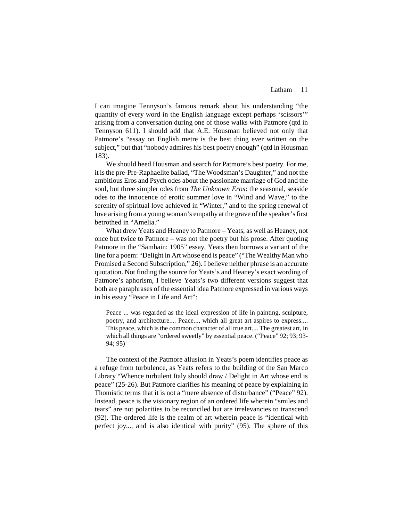I can imagine Tennyson's famous remark about his understanding "the quantity of every word in the English language except perhaps 'scissors'" arising from a conversation during one of those walks with Patmore (qtd in Tennyson 611). I should add that A.E. Housman believed not only that Patmore's "essay on English metre is the best thing ever written on the subject," but that "nobody admires his best poetry enough" (qtd in Housman 183).

We should heed Housman and search for Patmore's best poetry. For me, it is the pre-Pre-Raphaelite ballad, "The Woodsman's Daughter," and not the ambitious Eros and Psych odes about the passionate marriage of God and the soul, but three simpler odes from *The Unknown Eros*: the seasonal, seaside odes to the innocence of erotic summer love in "Wind and Wave," to the serenity of spiritual love achieved in "Winter," and to the spring renewal of love arising from a young woman's empathy at the grave of the speaker's first betrothed in "Amelia."

What drew Yeats and Heaney to Patmore – Yeats, as well as Heaney, not once but twice to Patmore – was not the poetry but his prose. After quoting Patmore in the "Samhain: 1905" essay, Yeats then borrows a variant of the line for a poem: "Delight in Art whose end is peace" ("The Wealthy Man who Promised a Second Subscription," 26). I believe neither phrase is an accurate quotation. Not finding the source for Yeats's and Heaney's exact wording of Patmore's aphorism, I believe Yeats's two different versions suggest that both are paraphrases of the essential idea Patmore expressed in various ways in his essay "Peace in Life and Art":

Peace ... was regarded as the ideal expression of life in painting, sculpture, poetry, and architecture.... Peace..., which all great art aspires to express.... This peace, which is the common character of all true art.... The greatest art, in which all things are "ordered sweetly" by essential peace. ("Peace" 92; 93; 93- 94;  $95)^1$ 

The context of the Patmore allusion in Yeats's poem identifies peace as a refuge from turbulence, as Yeats refers to the building of the San Marco Library "Whence turbulent Italy should draw / Delight in Art whose end is peace" (25-26). But Patmore clarifies his meaning of peace by explaining in Thomistic terms that it is not a "mere absence of disturbance" ("Peace" 92). Instead, peace is the visionary region of an ordered life wherein "smiles and tears" are not polarities to be reconciled but are irrelevancies to transcend (92). The ordered life is the realm of art wherein peace is "identical with perfect joy..., and is also identical with purity" (95). The sphere of this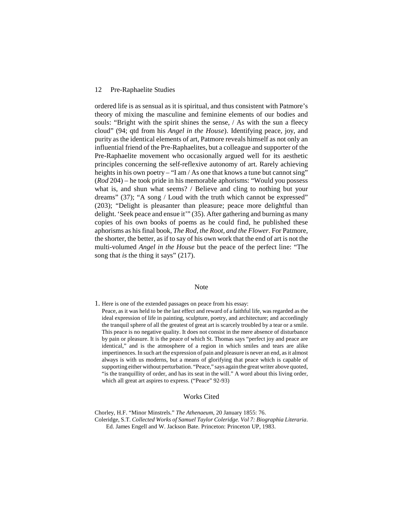ordered life is as sensual as it is spiritual, and thus consistent with Patmore's theory of mixing the masculine and feminine elements of our bodies and souls: "Bright with the spirit shines the sense, / As with the sun a fleecy cloud" (94; qtd from his *Angel in the House*). Identifying peace, joy, and purity as the identical elements of art, Patmore reveals himself as not only an influential friend of the Pre-Raphaelites, but a colleague and supporter of the Pre-Raphaelite movement who occasionally argued well for its aesthetic principles concerning the self-reflexive autonomy of art. Rarely achieving heights in his own poetry – "I am / As one that knows a tune but cannot sing" (*Rod* 204) – he took pride in his memorable aphorisms: "Would you possess what is, and shun what seems? / Believe and cling to nothing but your dreams" (37); "A song / Loud with the truth which cannot be expressed" (203); "Delight is pleasanter than pleasure; peace more delightful than delight. 'Seek peace and ensue it'" (35). After gathering and burning as many copies of his own books of poems as he could find, he published these aphorisms as his final book, *The Rod, the Root, and the Flower*. For Patmore, the shorter, the better, as if to say of his own work that the end of art is not the multi-volumed *Angel in the House* but the peace of the perfect line: "The song that *is* the thing it says" (217).

#### Note

1. Here is one of the extended passages on peace from his essay:

Peace, as it was held to be the last effect and reward of a faithful life, was regarded as the ideal expression of life in painting, sculpture, poetry, and architecture; and accordingly the tranquil sphere of all the greatest of great art is scarcely troubled by a tear or a smile. This peace is no negative quality. It does not consist in the mere absence of disturbance by pain or pleasure. It is the peace of which St. Thomas says "perfect joy and peace are identical," and is the atmosphere of a region in which smiles and tears are alike impertinences. In such art the expression of pain and pleasure is never an end, as it almost always is with us moderns, but a means of glorifying that peace which is capable of supporting either without perturbation. "Peace," says again the great writer above quoted, "is the tranquillity of order, and has its seat in the will." A word about this living order, which all great art aspires to express. ("Peace" 92-93)

#### Works Cited

Chorley, H.F. "Minor Minstrels." *The Athenaeum*, 20 January 1855: 76. Coleridge, S.T. *Collected Works of Samuel Taylor Coleridge. Vol 7: Biographia Literaria*. Ed. James Engell and W. Jackson Bate. Princeton: Princeton UP, 1983.